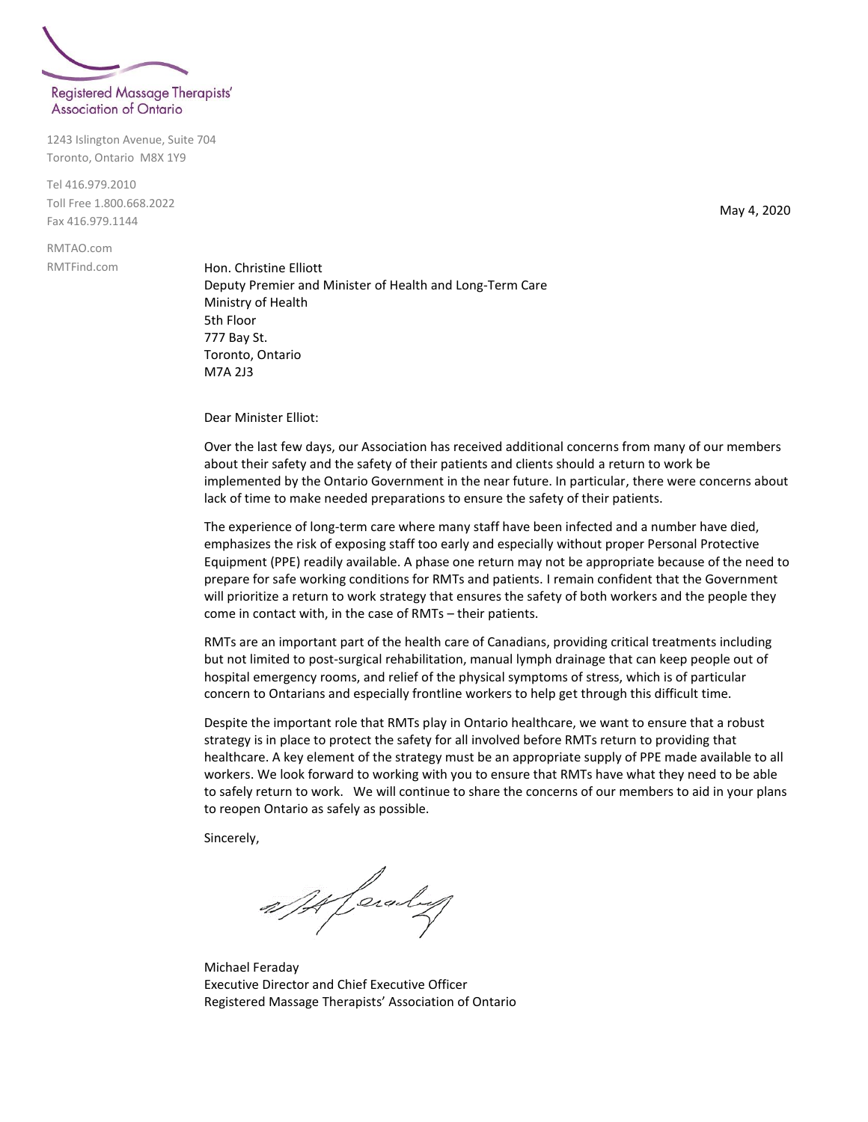

1243 Islington Avenue, Suite 704 Toronto, Ontario M8X 1Y9

Tel 416.979.2010 Toll Free 1.800.668.2022 Fax 416.979.1144

RMTAO.com RMTFind.com

Hon. Christine Elliott Deputy Premier and Minister of Health and Long-Term Care Ministry of Health 5th Floor 777 Bay St. Toronto, Ontario M7A 2J3

Dear Minister Elliot:

Over the last few days, our Association has received additional concerns from many of our members about their safety and the safety of their patients and clients should a return to work be implemented by the Ontario Government in the near future. In particular, there were concerns about lack of time to make needed preparations to ensure the safety of their patients.

The experience of long-term care where many staff have been infected and a number have died, emphasizes the risk of exposing staff too early and especially without proper Personal Protective Equipment (PPE) readily available. A phase one return may not be appropriate because of the need to prepare for safe working conditions for RMTs and patients. I remain confident that the Government will prioritize a return to work strategy that ensures the safety of both workers and the people they come in contact with, in the case of RMTs – their patients.

RMTs are an important part of the health care of Canadians, providing critical treatments including but not limited to post-surgical rehabilitation, manual lymph drainage that can keep people out of hospital emergency rooms, and relief of the physical symptoms of stress, which is of particular concern to Ontarians and especially frontline workers to help get through this difficult time.

Despite the important role that RMTs play in Ontario healthcare, we want to ensure that a robust strategy is in place to protect the safety for all involved before RMTs return to providing that healthcare. A key element of the strategy must be an appropriate supply of PPE made available to all workers. We look forward to working with you to ensure that RMTs have what they need to be able to safely return to work. We will continue to share the concerns of our members to aid in your plans to reopen Ontario as safely as possible.

Sincerely,

af Heraly

Michael Feraday Executive Director and Chief Executive Officer Registered Massage Therapists' Association of Ontario

May 4, 2020